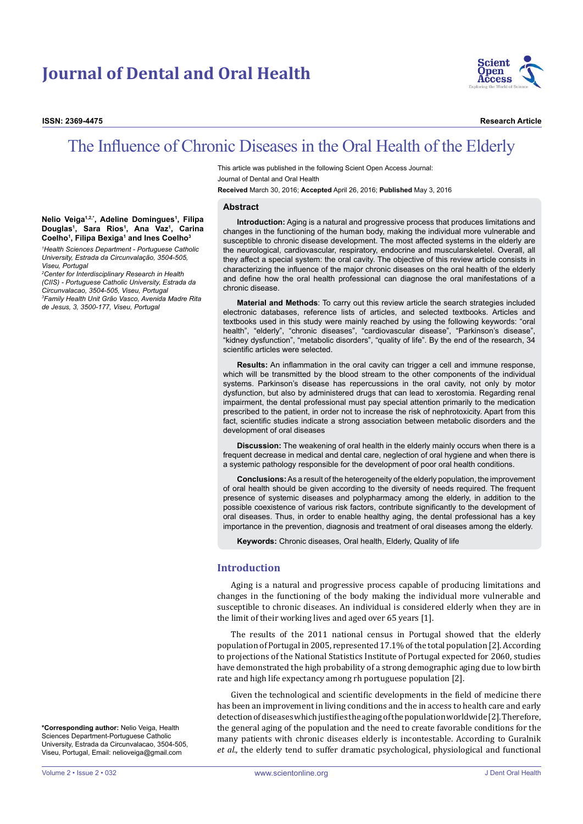# **Journal of Dental and Oral Health**



**ISSN: 2369-4475 Research Article**

## The Influence of Chronic Diseases in the Oral Health of the Elderly

This article was published in the following Scient Open Access Journal: Journal of Dental and Oral Health **Received** March 30, 2016; **Accepted** April 26, 2016; **Published** May 3, 2016

#### **Abstract**

**Introduction:** Aging is a natural and progressive process that produces limitations and changes in the functioning of the human body, making the individual more vulnerable and susceptible to chronic disease development. The most affected systems in the elderly are the neurological, cardiovascular, respiratory, endocrine and muscularskeletel. Overall, all they affect a special system: the oral cavity. The objective of this review article consists in characterizing the influence of the major chronic diseases on the oral health of the elderly and define how the oral health professional can diagnose the oral manifestations of a chronic disease.

**Material and Methods**: To carry out this review article the search strategies included electronic databases, reference lists of articles, and selected textbooks. Articles and textbooks used in this study were mainly reached by using the following keywords: "oral health", "elderly", "chronic diseases", "cardiovascular disease", "Parkinson's disease", "kidney dysfunction", "metabolic disorders", "quality of life". By the end of the research, 34 scientific articles were selected.

**Results:** An inflammation in the oral cavity can trigger a cell and immune response, which will be transmitted by the blood stream to the other components of the individual systems. Parkinson's disease has repercussions in the oral cavity, not only by motor dysfunction, but also by administered drugs that can lead to xerostomia. Regarding renal impairment, the dental professional must pay special attention primarily to the medication prescribed to the patient, in order not to increase the risk of nephrotoxicity. Apart from this fact, scientific studies indicate a strong association between metabolic disorders and the development of oral diseases

**Discussion:** The weakening of oral health in the elderly mainly occurs when there is a frequent decrease in medical and dental care, neglection of oral hygiene and when there is a systemic pathology responsible for the development of poor oral health conditions.

**Conclusions:** As a result of the heterogeneity of the elderly population, the improvement of oral health should be given according to the diversity of needs required. The frequent presence of systemic diseases and polypharmacy among the elderly, in addition to the possible coexistence of various risk factors, contribute significantly to the development of oral diseases. Thus, in order to enable healthy aging, the dental professional has a key importance in the prevention, diagnosis and treatment of oral diseases among the elderly.

**Keywords:** Chronic diseases, Oral health, Elderly, Quality of life

#### **Introduction**

Aging is a natural and progressive process capable of producing limitations and changes in the functioning of the body making the individual more vulnerable and susceptible to chronic diseases. An individual is considered elderly when they are in the limit of their working lives and aged over 65 years [1].

The results of the 2011 national census in Portugal showed that the elderly population of Portugal in 2005, represented 17.1% of the total population [2]. According to projections of the National Statistics Institute of Portugal expected for 2060, studies have demonstrated the high probability of a strong demographic aging due to low birth rate and high life expectancy among rh portuguese population [2].

Given the technological and scientific developments in the field of medicine there has been an improvement in living conditions and the in access to health care and early detection of diseases which justifies the aging of the population worldwide [2]. Therefore, the general aging of the population and the need to create favorable conditions for the many patients with chronic diseases elderly is incontestable. According to Guralnik *et al*., the elderly tend to suffer dramatic psychological, physiological and functional

#### **Nelio Veiga1,2,\*, Adeline Domingues1 , Filipa Douglas1 , Sara Rios1 , Ana Vaz1 , Carina Coelho1 , Filipa Bexiga1 and Ines Coelho3**

*1 Health Sciences Department - Portuguese Catholic University, Estrada da Circunvalação, 3504-505, Viseu, Portugal*

*2 Center for Interdisciplinary Research in Health (CIIS) - Portuguese Catholic University, Estrada da Circunvalacao, 3504-505, Viseu, Portugal 3 Family Health Unit Grão Vasco, Avenida Madre Rita de Jesus, 3, 3500-177, Viseu, Portugal*

**\*Corresponding author:** Nelio Veiga, Health Sciences Department-Portuguese Catholic University, Estrada da Circunvalacao, 3504-505, Viseu, Portugal, Email: nelioveiga@gmail.com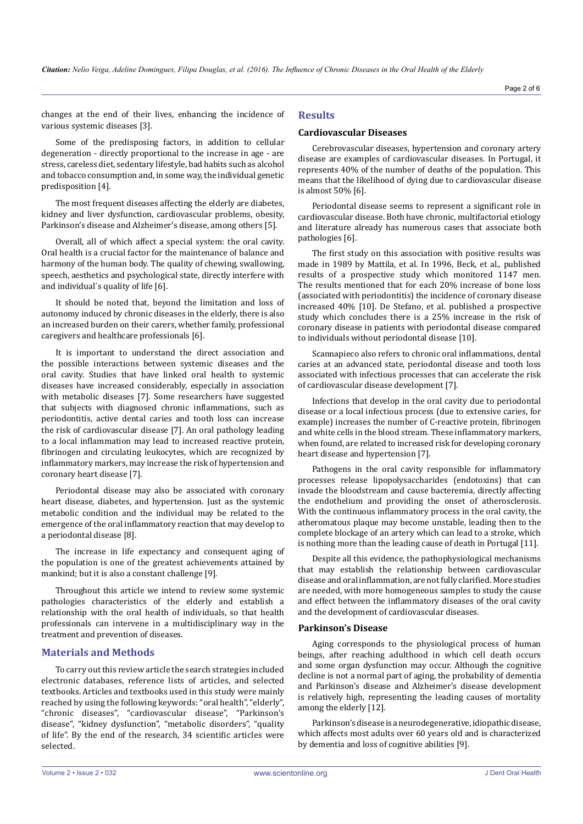changes at the end of their lives, enhancing the incidence of various systemic diseases [3].

Some of the predisposing factors, in addition to cellular degeneration - directly proportional to the increase in age - are stress, careless diet, sedentary lifestyle, bad habits such as alcohol and tobacco consumption and, in some way, the individual genetic predisposition [4].

The most frequent diseases affecting the elderly are diabetes, kidney and liver dysfunction, cardiovascular problems, obesity, Parkinson's disease and Alzheimer's disease, among others [5].

Overall, all of which affect a special system: the oral cavity. Oral health is a crucial factor for the maintenance of balance and harmony of the human body. The quality of chewing, swallowing, speech, aesthetics and psychological state, directly interfere with and individual´s quality of life [6].

It should be noted that, beyond the limitation and loss of autonomy induced by chronic diseases in the elderly, there is also an increased burden on their carers, whether family, professional caregivers and healthcare professionals [6].

It is important to understand the direct association and the possible interactions between systemic diseases and the oral cavity. Studies that have linked oral health to systemic diseases have increased considerably, especially in association with metabolic diseases [7]. Some researchers have suggested that subjects with diagnosed chronic inflammations, such as periodontitis, active dental caries and tooth loss can increase the risk of cardiovascular disease [7]. An oral pathology leading to a local inflammation may lead to increased reactive protein, fibrinogen and circulating leukocytes, which are recognized by inflammatory markers, may increase the risk of hypertension and coronary heart disease [7].

Periodontal disease may also be associated with coronary heart disease, diabetes, and hypertension. Just as the systemic metabolic condition and the individual may be related to the emergence of the oral inflammatory reaction that may develop to a periodontal disease [8].

The increase in life expectancy and consequent aging of the population is one of the greatest achievements attained by mankind; but it is also a constant challenge [9].

Throughout this article we intend to review some systemic pathologies characteristics of the elderly and establish a relationship with the oral health of individuals, so that health professionals can intervene in a multidisciplinary way in the treatment and prevention of diseases.

## **Materials and Methods**

To carry out this review article the search strategies included electronic databases, reference lists of articles, and selected textbooks. Articles and textbooks used in this study were mainly reached by using the following keywords: "oral health", "elderly", "chronic diseases", "cardiovascular disease", "Parkinson's disease", "kidney dysfunction", "metabolic disorders", "quality of life". By the end of the research, 34 scientific articles were selected.

## **Results**

#### **Cardiovascular Diseases**

Cerebrovascular diseases, hypertension and coronary artery disease are examples of cardiovascular diseases. In Portugal, it represents 40% of the number of deaths of the population. This means that the likelihood of dying due to cardiovascular disease is almost 50% [6].

Periodontal disease seems to represent a significant role in cardiovascular disease. Both have chronic, multifactorial etiology and literature already has numerous cases that associate both pathologies [6].

The first study on this association with positive results was made in 1989 by Mattila, et al. In 1996, Beck, et al., published results of a prospective study which monitored 1147 men. The results mentioned that for each 20% increase of bone loss (associated with periodontitis) the incidence of coronary disease increased 40% [10]. De Stefano, et al. published a prospective study which concludes there is a 25% increase in the risk of coronary disease in patients with periodontal disease compared to individuals without periodontal disease [10].

Scannapieco also refers to chronic oral inflammations, dental caries at an advanced state, periodontal disease and tooth loss associated with infectious processes that can accelerate the risk of cardiovascular disease development [7].

Infections that develop in the oral cavity due to periodontal disease or a local infectious process (due to extensive caries, for example) increases the number of C-reactive protein, fibrinogen and white cells in the blood stream. These inflammatory markers, when found, are related to increased risk for developing coronary heart disease and hypertension [7].

Pathogens in the oral cavity responsible for inflammatory processes release lipopolysaccharides (endotoxins) that can invade the bloodstream and cause bacteremia, directly affecting the endothelium and providing the onset of atherosclerosis. With the continuous inflammatory process in the oral cavity, the atheromatous plaque may become unstable, leading then to the complete blockage of an artery which can lead to a stroke, which is nothing more than the leading cause of death in Portugal [11].

Despite all this evidence, the pathophysiological mechanisms that may establish the relationship between cardiovascular disease and oral inflammation, are not fully clarified. More studies are needed, with more homogeneous samples to study the cause and effect between the inflammatory diseases of the oral cavity and the development of cardiovascular diseases.

## **Parkinson's Disease**

Aging corresponds to the physiological process of human beings, after reaching adulthood in which cell death occurs and some organ dysfunction may occur. Although the cognitive decline is not a normal part of aging, the probability of dementia and Parkinson's disease and Alzheimer's disease development is relatively high, representing the leading causes of mortality among the elderly [12].

Parkinson's disease is a neurodegenerative, idiopathic disease, which affects most adults over 60 years old and is characterized by dementia and loss of cognitive abilities [9].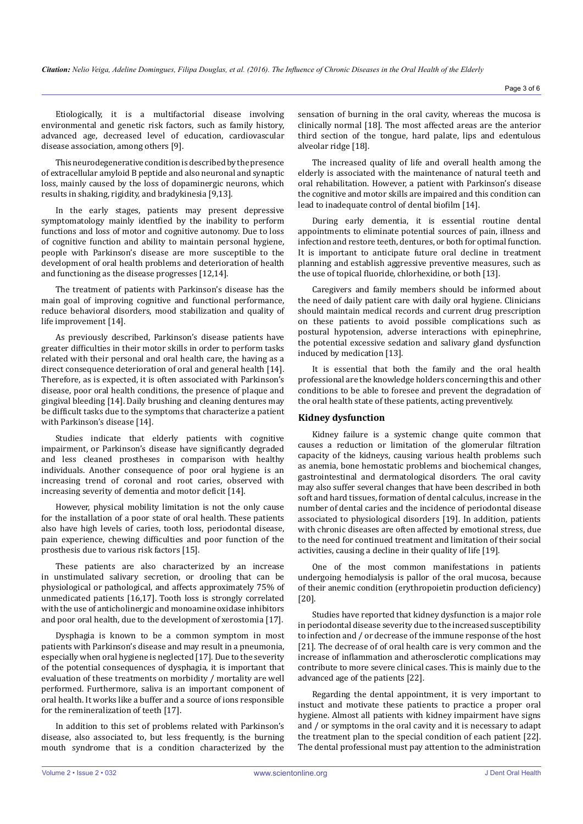Etiologically, it is a multifactorial disease involving environmental and genetic risk factors, such as family history, advanced age, decreased level of education, cardiovascular disease association, among others [9].

This neurodegenerative condition is described by the presence of extracellular amyloid B peptide and also neuronal and synaptic loss, mainly caused by the loss of dopaminergic neurons, which results in shaking, rigidity, and bradykinesia [9,13].

In the early stages, patients may present depressive symptomatology mainly identfied by the inability to perform functions and loss of motor and cognitive autonomy. Due to loss of cognitive function and ability to maintain personal hygiene, people with Parkinson's disease are more susceptible to the development of oral health problems and deterioration of health and functioning as the disease progresses [12,14].

The treatment of patients with Parkinson's disease has the main goal of improving cognitive and functional performance, reduce behavioral disorders, mood stabilization and quality of life improvement [14].

As previously described, Parkinson's disease patients have greater difficulties in their motor skills in order to perform tasks related with their personal and oral health care, the having as a direct consequence deterioration of oral and general health [14]. Therefore, as is expected, it is often associated with Parkinson's disease, poor oral health conditions, the presence of plaque and gingival bleeding [14]. Daily brushing and cleaning dentures may be difficult tasks due to the symptoms that characterize a patient with Parkinson's disease [14].

Studies indicate that elderly patients with cognitive impairment, or Parkinson's disease have significantly degraded and less cleaned prostheses in comparison with healthy individuals. Another consequence of poor oral hygiene is an increasing trend of coronal and root caries, observed with increasing severity of dementia and motor deficit [14].

However, physical mobility limitation is not the only cause for the installation of a poor state of oral health. These patients also have high levels of caries, tooth loss, periodontal disease, pain experience, chewing difficulties and poor function of the prosthesis due to various risk factors [15].

These patients are also characterized by an increase in unstimulated salivary secretion, or drooling that can be physiological or pathological, and affects approximately 75% of unmedicated patients [16,17]. Tooth loss is strongly correlated with the use of anticholinergic and monoamine oxidase inhibitors and poor oral health, due to the development of xerostomia [17].

Dysphagia is known to be a common symptom in most patients with Parkinson's disease and may result in a pneumonia, especially when oral hygiene is neglected [17]. Due to the severity of the potential consequences of dysphagia, it is important that evaluation of these treatments on morbidity / mortality are well performed. Furthermore, saliva is an important component of oral health. It works like a buffer and a source of ions responsible for the remineralization of teeth [17].

In addition to this set of problems related with Parkinson's disease, also associated to, but less frequently, is the burning mouth syndrome that is a condition characterized by the sensation of burning in the oral cavity, whereas the mucosa is clinically normal [18]. The most affected areas are the anterior third section of the tongue, hard palate, lips and edentulous alveolar ridge [18].

The increased quality of life and overall health among the elderly is associated with the maintenance of natural teeth and oral rehabilitation. However, a patient with Parkinson's disease the cognitive and motor skills are impaired and this condition can lead to inadequate control of dental biofilm [14].

During early dementia, it is essential routine dental appointments to eliminate potential sources of pain, illness and infection and restore teeth, dentures, or both for optimal function. It is important to anticipate future oral decline in treatment planning and establish aggressive preventive measures, such as the use of topical fluoride, chlorhexidine, or both [13].

Caregivers and family members should be informed about the need of daily patient care with daily oral hygiene. Clinicians should maintain medical records and current drug prescription on these patients to avoid possible complications such as postural hypotension, adverse interactions with epinephrine, the potential excessive sedation and salivary gland dysfunction induced by medication [13].

It is essential that both the family and the oral health professional are the knowledge holders concerning this and other conditions to be able to foresee and prevent the degradation of the oral health state of these patients, acting preventively.

## **Kidney dysfunction**

Kidney failure is a systemic change quite common that causes a reduction or limitation of the glomerular filtration capacity of the kidneys, causing various health problems such as anemia, bone hemostatic problems and biochemical changes, gastrointestinal and dermatological disorders. The oral cavity may also suffer several changes that have been described in both soft and hard tissues, formation of dental calculus, increase in the number of dental caries and the incidence of periodontal disease associated to physiological disorders [19]. In addition, patients with chronic diseases are often affected by emotional stress, due to the need for continued treatment and limitation of their social activities, causing a decline in their quality of life [19].

One of the most common manifestations in patients undergoing hemodialysis is pallor of the oral mucosa, because of their anemic condition (erythropoietin production deficiency) [20].

Studies have reported that kidney dysfunction is a major role in periodontal disease severity due to the increased susceptibility to infection and / or decrease of the immune response of the host [21]. The decrease of of oral health care is very common and the increase of inflammation and atherosclerotic complications may contribute to more severe clinical cases. This is mainly due to the advanced age of the patients [22].

Regarding the dental appointment, it is very important to instuct and motivate these patients to practice a proper oral hygiene. Almost all patients with kidney impairment have signs and / or symptoms in the oral cavity and it is necessary to adapt the treatment plan to the special condition of each patient [22]. The dental professional must pay attention to the administration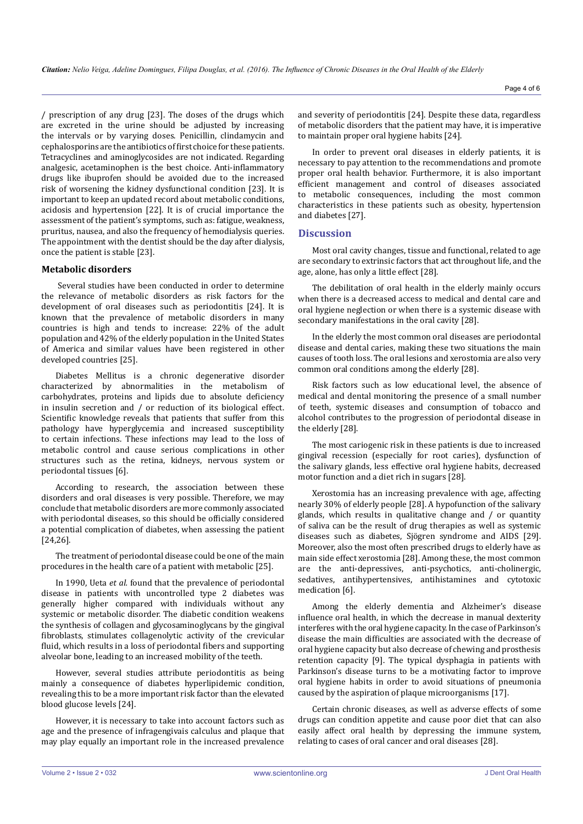/ prescription of any drug [23]. The doses of the drugs which are excreted in the urine should be adjusted by increasing the intervals or by varying doses. Penicillin, clindamycin and cephalosporins are the antibiotics of first choice for these patients. Tetracyclines and aminoglycosides are not indicated. Regarding analgesic, acetaminophen is the best choice. Anti-inflammatory drugs like ibuprofen should be avoided due to the increased risk of worsening the kidney dysfunctional condition [23]. It is important to keep an updated record about metabolic conditions, acidosis and hypertension [22]. It is of crucial importance the assessment of the patient's symptoms, such as: fatigue, weakness, pruritus, nausea, and also the frequency of hemodialysis queries. The appointment with the dentist should be the day after dialysis, once the patient is stable [23].

## **Metabolic disorders**

 Several studies have been conducted in order to determine the relevance of metabolic disorders as risk factors for the development of oral diseases such as periodontitis [24]. It is known that the prevalence of metabolic disorders in many countries is high and tends to increase: 22% of the adult population and 42% of the elderly population in the United States of America and similar values have been registered in other developed countries [25].

Diabetes Mellitus is a chronic degenerative disorder characterized by abnormalities in the metabolism of carbohydrates, proteins and lipids due to absolute deficiency in insulin secretion and / or reduction of its biological effect. Scientific knowledge reveals that patients that suffer from this pathology have hyperglycemia and increased susceptibility to certain infections. These infections may lead to the loss of metabolic control and cause serious complications in other structures such as the retina, kidneys, nervous system or periodontal tissues [6].

According to research, the association between these disorders and oral diseases is very possible. Therefore, we may conclude that metabolic disorders are more commonly associated with periodontal diseases, so this should be officially considered a potential complication of diabetes, when assessing the patient [24,26].

The treatment of periodontal disease could be one of the main procedures in the health care of a patient with metabolic [25].

In 1990, Ueta *et al.* found that the prevalence of periodontal disease in patients with uncontrolled type 2 diabetes was generally higher compared with individuals without any systemic or metabolic disorder. The diabetic condition weakens the synthesis of collagen and glycosaminoglycans by the gingival fibroblasts, stimulates collagenolytic activity of the crevicular fluid, which results in a loss of periodontal fibers and supporting alveolar bone, leading to an increased mobility of the teeth.

However, several studies attribute periodontitis as being mainly a consequence of diabetes hyperlipidemic condition, revealing this to be a more important risk factor than the elevated blood glucose levels [24].

However, it is necessary to take into account factors such as age and the presence of infragengivais calculus and plaque that may play equally an important role in the increased prevalence

and severity of periodontitis [24]. Despite these data, regardless of metabolic disorders that the patient may have, it is imperative to maintain proper oral hygiene habits [24].

In order to prevent oral diseases in elderly patients, it is necessary to pay attention to the recommendations and promote proper oral health behavior. Furthermore, it is also important efficient management and control of diseases associated to metabolic consequences, including the most common characteristics in these patients such as obesity, hypertension and diabetes [27].

## **Discussion**

Most oral cavity changes, tissue and functional, related to age are secondary to extrinsic factors that act throughout life, and the age, alone, has only a little effect [28].

The debilitation of oral health in the elderly mainly occurs when there is a decreased access to medical and dental care and oral hygiene neglection or when there is a systemic disease with secondary manifestations in the oral cavity [28].

In the elderly the most common oral diseases are periodontal disease and dental caries, making these two situations the main causes of tooth loss. The oral lesions and xerostomia are also very common oral conditions among the elderly [28].

Risk factors such as low educational level, the absence of medical and dental monitoring the presence of a small number of teeth, systemic diseases and consumption of tobacco and alcohol contributes to the progression of periodontal disease in the elderly [28].

The most cariogenic risk in these patients is due to increased gingival recession (especially for root caries), dysfunction of the salivary glands, less effective oral hygiene habits, decreased motor function and a diet rich in sugars [28].

Xerostomia has an increasing prevalence with age, affecting nearly 30% of elderly people [28]. A hypofunction of the salivary glands, which results in qualitative change and / or quantity of saliva can be the result of drug therapies as well as systemic diseases such as diabetes, Sjögren syndrome and AIDS [29]. Moreover, also the most often prescribed drugs to elderly have as main side effect xerostomia [28]. Among these, the most common are the anti-depressives, anti-psychotics, anti-cholinergic, sedatives, antihypertensives, antihistamines and cytotoxic medication [6].

Among the elderly dementia and Alzheimer's disease influence oral health, in which the decrease in manual dexterity interferes with the oral hygiene capacity. In the case of Parkinson's disease the main difficulties are associated with the decrease of oral hygiene capacity but also decrease of chewing and prosthesis retention capacity [9]. The typical dysphagia in patients with Parkinson's disease turns to be a motivating factor to improve oral hygiene habits in order to avoid situations of pneumonia caused by the aspiration of plaque microorganisms [17].

Certain chronic diseases, as well as adverse effects of some drugs can condition appetite and cause poor diet that can also easily affect oral health by depressing the immune system, relating to cases of oral cancer and oral diseases [28].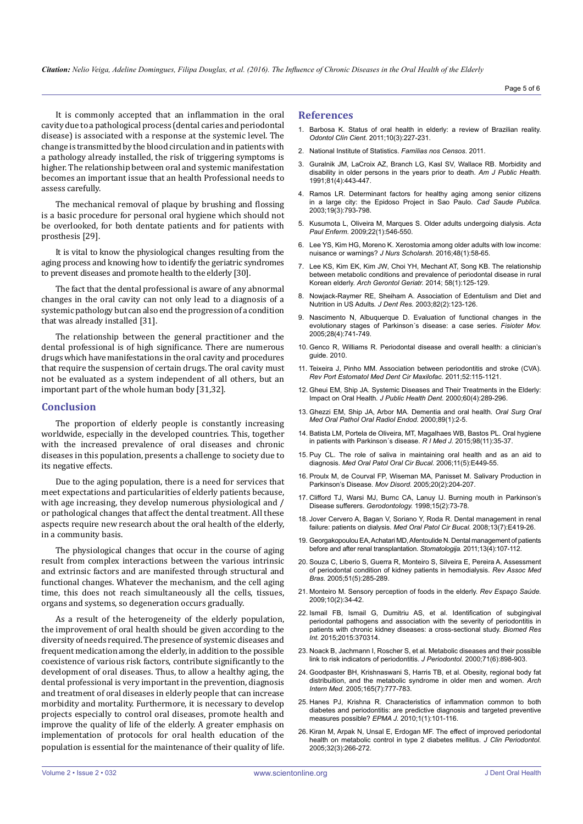It is commonly accepted that an inflammation in the oral cavity due to a pathological process (dental caries and periodontal disease) is associated with a response at the systemic level. The change is transmitted by the blood circulation and in patients with a pathology already installed, the risk of triggering symptoms is higher. The relationship between oral and systemic manifestation becomes an important issue that an health Professional needs to assess carefully.

The mechanical removal of plaque by brushing and flossing is a basic procedure for personal oral hygiene which should not be overlooked, for both dentate patients and for patients with prosthesis [29].

It is vital to know the physiological changes resulting from the aging process and knowing how to identify the geriatric syndromes to prevent diseases and promote health to the elderly [30].

The fact that the dental professional is aware of any abnormal changes in the oral cavity can not only lead to a diagnosis of a systemic pathology but can also end the progression of a condition that was already installed [31].

The relationship between the general practitioner and the dental professional is of high significance. There are numerous drugs which have manifestations in the oral cavity and procedures that require the suspension of certain drugs. The oral cavity must not be evaluated as a system independent of all others, but an important part of the whole human body [31,32].

## **Conclusion**

The proportion of elderly people is constantly increasing worldwide, especially in the developed countries. This, together with the increased prevalence of oral diseases and chronic diseases in this population, presents a challenge to society due to its negative effects.

Due to the aging population, there is a need for services that meet expectations and particularities of elderly patients because, with age increasing, they develop numerous physiological and / or pathological changes that affect the dental treatment. All these aspects require new research about the oral health of the elderly, in a community basis.

The physiological changes that occur in the course of aging result from complex interactions between the various intrinsic and extrinsic factors and are manifested through structural and functional changes. Whatever the mechanism, and the cell aging time, this does not reach simultaneously all the cells, tissues, organs and systems, so degeneration occurs gradually.

As a result of the heterogeneity of the elderly population, the improvement of oral health should be given according to the diversity of needs required. The presence of systemic diseases and frequent medication among the elderly, in addition to the possible coexistence of various risk factors, contribute significantly to the development of oral diseases. Thus, to allow a healthy aging, the dental professional is very important in the prevention, diagnosis and treatment of oral diseases in elderly people that can increase morbidity and mortality. Furthermore, it is necessary to develop projects especially to control oral diseases, promote health and improve the quality of life of the elderly. A greater emphasis on implementation of protocols for oral health education of the population is essential for the maintenance of their quality of life.

## **References**

- 1. Barbosa K. Status of oral health in elderly: a review of Brazilian reality. *Odontol Clín Cient.* 2011;10(3):227-231.
- 2. [National Institute of Statistics.](http://www.observatoriofamilias.ics.ul.pt/index.php/publicacoes/livros/93-familias-nos-censos-2011.) *Famílias nos Censos*. 2011.
- 3. [Guralnik JM, LaCroix AZ, Branch LG, Kasl SV, Wallace RB. Morbidity and](http://www.ncbi.nlm.nih.gov/pmc/articles/PMC1405038/)  [disability in older persons in the years prior to death.](http://www.ncbi.nlm.nih.gov/pmc/articles/PMC1405038/) *Am J Public Health.* [1991;81\(4\):443-447.](http://www.ncbi.nlm.nih.gov/pmc/articles/PMC1405038/)
- 4. [Ramos LR. Determinant factors for healthy aging among senior citizens](http://www.scielo.br/scielo.php?script=sci_arttext&pid=S0102-311X2003000300011)  [in a large city: the Epidoso Project in Sao Paulo.](http://www.scielo.br/scielo.php?script=sci_arttext&pid=S0102-311X2003000300011) *Cad Saude Publica.* [2003;19\(3\):793-798.](http://www.scielo.br/scielo.php?script=sci_arttext&pid=S0102-311X2003000300011)
- 5. [Kusumota L, Oliveira M, Marques S. Older adults undergoing dialysis.](http://www.scielo.br/scielo.php?script=sci_arttext&pid=S0103-21002009000800020) *Acta Paul Enferm.* [2009;22\(1\):546-550.](http://www.scielo.br/scielo.php?script=sci_arttext&pid=S0103-21002009000800020)
- 6. [Lee YS, Kim HG, Moreno K. Xerostomia among older adults with low income:](http://www.ncbi.nlm.nih.gov/pubmed/26649995)  [nuisance or warnings?](http://www.ncbi.nlm.nih.gov/pubmed/26649995) *J Nurs Scholarsh.* 2016;48(1):58-65.
- 7. [Lee KS, Kim EK, Kim JW, Choi YH, Mechant AT, Song KB. The relationship](http://www.ncbi.nlm.nih.gov/pubmed/24075494)  [between metabolic conditions and prevalence of periodontal disease in rural](http://www.ncbi.nlm.nih.gov/pubmed/24075494)  Korean elderly. *[Arch Gerontol Geriatr.](http://www.ncbi.nlm.nih.gov/pubmed/24075494)* 2014; 58(1):125-129.
- 8. [Nowjack-Raymer RE, Sheiham A. Association of Edentulism and Diet and](http://www.ncbi.nlm.nih.gov/pubmed/12562885)  [Nutrition in US Adults](http://www.ncbi.nlm.nih.gov/pubmed/12562885)*. J Dent Res.* 2003;82(2):123-126.
- 9. [Nascimento N, Albuquerque D. Evaluation of functional changes in the](http://www.scielo.br/scielo.php?script=sci_arttext&pid=S0103-51502015000400741)  [evolutionary stages of Parkinson´s disease: a case series.](http://www.scielo.br/scielo.php?script=sci_arttext&pid=S0103-51502015000400741) *Fisioter Mov.* [2005;28\(4\):741-749.](http://www.scielo.br/scielo.php?script=sci_arttext&pid=S0103-51502015000400741)
- 10. [Genco R, Williams R. Periodontal disease and overall health: a clinician's](http://www.colgateprofessional.com/Professional/v1/en/us/locale-assets/docs/OSCD.pdf)  [guide. 2010.](http://www.colgateprofessional.com/Professional/v1/en/us/locale-assets/docs/OSCD.pdf)
- 11. Teixeira J, Pinho MM. Association between periodontitis and stroke (CVA). *Rev Port Estomatol Med Dent Cir Maxilofac.* 2011;52:115-1121.
- 12. [Gheui EM, Ship JA. Systemic Diseases and Their Treatments in the Elderly:](http://www.ncbi.nlm.nih.gov/pubmed/11243049)  Impact on Oral Health*[. J Public Health Dent.](http://www.ncbi.nlm.nih.gov/pubmed/11243049)* 2000;60(4):289-296.
- 13. [Ghezzi EM, Ship JA, Arbor MA. Dementia and oral health.](http://www.ncbi.nlm.nih.gov/pubmed/10630932) *Oral Surg Oral [Med Oral Pathol Oral Radiol Endod.](http://www.ncbi.nlm.nih.gov/pubmed/10630932)* 2000;89(1):2-5.
- 14. [Batista LM, Portela de Oliveira, MT, Magalhaes WB, Bastos PL. Oral hygiene](http://www.ncbi.nlm.nih.gov/pubmed/26517254)  [in patients with Parkinson´s disease.](http://www.ncbi.nlm.nih.gov/pubmed/26517254) *R I Med J.* 2015;98(11):35-37.
- 15. Puy CL. The role of saliva in maintaining oral health and as an aid to diagnosis. *Med Oral Patol Oral Cir Bucal.* 2006;11(5):E449-55.
- 16. [Proulx M, de Courval FP, Wiseman MA, Panisset M. Salivary Production in](http://www.ncbi.nlm.nih.gov/pubmed/15389996)  [Parkinson's Disease.](http://www.ncbi.nlm.nih.gov/pubmed/15389996) *Mov Disord.* 2005;20(2):204-207.
- 17. [Clifford TJ, Warsi MJ, Burnc CA, Lanuy IJ. Burning mouth in Parkinson's](http://www.ncbi.nlm.nih.gov/pubmed/10530180)  [Disease sufferers.](http://www.ncbi.nlm.nih.gov/pubmed/10530180) *Gerodontology.* 1998;15(2):73-78.
- 18. [Jover Cervero A, Bagan V, Soriano Y, Roda R. Dental management in renal](http://www.ncbi.nlm.nih.gov/pubmed/18587305)  [failure: patients on dialysis.](http://www.ncbi.nlm.nih.gov/pubmed/18587305) *Med Oral Patol Cir Bucal.* 2008;13(7):E419-26.
- 19. [Georgakopoulou EA, Achatari MD, Afentoulide N. Dental management of patients](http://www.ncbi.nlm.nih.gov/pubmed/22362336)  [before and after renal transplantation.](http://www.ncbi.nlm.nih.gov/pubmed/22362336) *Stomatologija.* 2011;13(4):107-112.
- 20. [Souza C, Liberio S, Guerra R, Monteiro S, Silveira E, Pereira A. Assessment](http://www.ncbi.nlm.nih.gov/pubmed/16270147)  [of periodontal condition of kidney patients in hemodialysis.](http://www.ncbi.nlm.nih.gov/pubmed/16270147) *Rev Assoc Med Bras.* [2005;51\(5\):285-289.](http://www.ncbi.nlm.nih.gov/pubmed/16270147)
- 21. [Monteiro M. Sensory perception of foods in the elderly.](http://www.lifegroup.com.br/FHI7.pdf) *Rev Espaço Saúde.* [2009;10\(2\):34-42.](http://www.lifegroup.com.br/FHI7.pdf)
- 22. [Ismail FB, Ismail G, Dumitriu AS, et al. Identification of subgingival](http://www.hindawi.com/journals/bmri/2015/370314/)  [periodontal pathogens and association with the severity of periodontitis in](http://www.hindawi.com/journals/bmri/2015/370314/)  [patients with chronic kidney diseases: a cross-sectional study.](http://www.hindawi.com/journals/bmri/2015/370314/) *Biomed Res Int.* [2015;2015:370314.](http://www.hindawi.com/journals/bmri/2015/370314/)
- 23. [Noack B, Jachmann I, Roscher S, et al. Metabolic diseases and their possible](http://www.ncbi.nlm.nih.gov/pubmed/10914792)  [link to risk indicators of periodontitis.](http://www.ncbi.nlm.nih.gov/pubmed/10914792) *J Periodontol.* 2000;71(6):898-903.
- 24. [Goodpaster BH, Krishnaswani S, Harris TB, et al. Obesity, regional body fat](http://www.ncbi.nlm.nih.gov/pubmed/15824297)  [distribuition, and the metabolic syndrome in older men and women.](http://www.ncbi.nlm.nih.gov/pubmed/15824297) *Arch Intern Med.* [2005;165\(7\):777-783.](http://www.ncbi.nlm.nih.gov/pubmed/15824297)
- 25. [Hanes PJ, Krishna R. Characteristics of inflammation common to both](http://www.ncbi.nlm.nih.gov/pubmed/23199045)  [diabetes and periodontitis: are predictive diagnosis and targeted preventive](http://www.ncbi.nlm.nih.gov/pubmed/23199045)  [measures possible?](http://www.ncbi.nlm.nih.gov/pubmed/23199045) *EPMA J.* 2010;1(1):101-116.
- 26. [Kiran M, Arpak N, Unsal E, Erdogan MF. The effect of improved periodontal](http://www.ncbi.nlm.nih.gov/pubmed/15766369)  [health on metabolic control in type 2 diabetes mellitus.](http://www.ncbi.nlm.nih.gov/pubmed/15766369) *J Clin Periodontol.* [2005;32\(3\):266-272.](http://www.ncbi.nlm.nih.gov/pubmed/15766369)